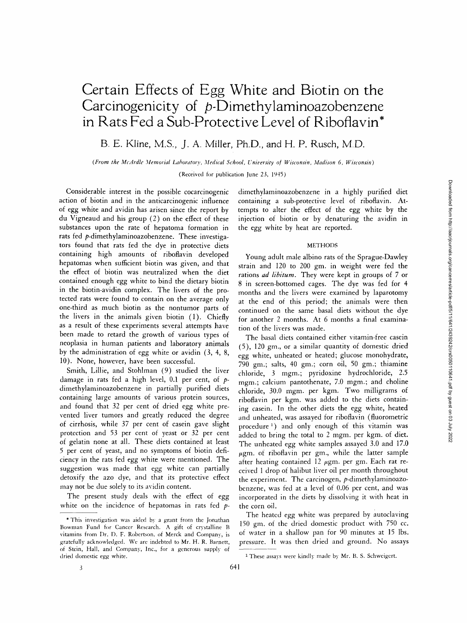# **Certain Effects of Egg White and Biotin on the**  Carcinogenicity of p-Dimethylaminoazobenzene **in Rats Fed a Sub-Protective Level of Riboflavin\***

**B. E. Kline, M.S., J. A. Miller, Ph.D., and H. P. Rusch, M.D.** 

*(From the McArdle Memorial Laboratory, Medical School, University of Wisconsin, Madison 6, Wisconsin)* 

(Received for publication June 23, 1945)

Considerable interest in the possible cocarcinogenic action of biotin and in the anticarcinogenic influence of egg white and avidin has arisen since the report by du Vigneaud and his group (2) on the effect of these substances upon the rate of hepatoma formation in rats fed p-dimethylaminoazobenzene. These investigators found that rats fed the dye in protective diets containing high amounts of riboflavin developed hepatomas when sufficient biotin was given, and that the effect of biotin was neutralized when the diet contained enough egg white to bind the dietary biotin in the biotin-avidin complex. The livers of the protected rats were found to contain on the average only one-third as much biotin as the nontumor parts of the livers in the animals given biotin (1). Chiefly as a result of these experiments several attempts have been made to retard the growth of various types of neoplasia in human patients and laboratory animals by the administration of egg white or avidin (3, 4, 8, 10). None, however, have been successful.

Smith, Lillie, and Stohlman (9) studied the liver damage in rats fed a high level, 0.1 per cent, of  $p$ dimethylaminoazobenzene in partially purified diets containing large amounts of various protein sources, and found that 32 per cent of dried egg white prevented liver tumors and greatly reduced the degree of cirrhosis, while 37 per cent of casein gave slight protection and 53 per cent of yeast or 32 per cent of gelatin none at all. These diets contained at least 5 per cent of yeast, and no symptoms of biotin deficiency in the rats fed egg white were mentioned. The suggestion was made that egg white can partially detoxify the azo dye, and that its protective effect may not be due solely to its avidin content.

The present study deals with the effect of egg white on the incidence of hepatomas in rats fed  $p$ -

dimethylaminoazobenzene in a highly purified diet containing a sub-protective level of riboflavin. Attempts to alter the effect of the egg white by the injection of biotin or by denaturing the avidin in the egg white by heat are reported.

### **METHODS**

Young adult male albino rats of the Sprague-Dawley strain and 120 to 200 gm. in weight were fed the rations *ad libitum.* They were kept in groups of 7 or 8 in screen-bottomed cages. The dye was fed for 4 months and the livers were examined by laparotomy at the end of this period; the animals were then continued on the same basal diets without the dye for another 2 months. At 6 months a final examination of the livers was made.

The basal diets contained either vitamin-free casein (5), 120 gin., or a similar quantity of domestic dried egg white, unheated or heated; glucose monohydrate,  $790$  gm.; salts, 40 gm.; corn oil, 50 gm.; thiamine chloride, 3 mgm.; pyridoxine hydrochloride, 2.5 mgm.; calcium pantothenate, 7.0 mgm.; and choline chloride, 30.0 mgm. per kgm. Two milligrams of riboflavin per kgm. was added to the diets containing casein. In the other diets the egg white, heated and unheated, was assayed for riboflavin (fluorometric procedure 1) and only enough of this vitamin was added to bring the total to 2 mgm. per kgm. of diet. The unheated egg white samples assayed 3.0 and 17.0  $\mu$ gm. of riboflavin per gm., while the latter sample after heating contained  $12~\mu$ gm. per gm. Each rat received 1 drop of halibut liver oil per month throughout the experiment. The carcinogen, p-dimethylaminoazobenzene, was fed at a level of 0.06 per cent, and was incorporated in the diets by dissolving it with heat in the corn oil.

The heated egg white was prepared by autoclaving 150 gm. of the dried domestic product with 750 cc. of water in a shallow pan for 90 minutes at 15 lbs. pressure. It was then dried and ground. No assays

<sup>\*</sup> This investigation was aided by a grant from the Jonathan Bowman Fund for Cancer Research. A gift of crystalline B vitamins from Dr. I). F. Robertson, of Merck and Company, is gratefully acknowledged. We are indebted to Mr. H. R. Barnett, of Stein, Hall, and Company, Inc., for a generous supply of dried domestic egg white.

<sup>1</sup> These assays were kindly made by Mr. B. S. Schweigert.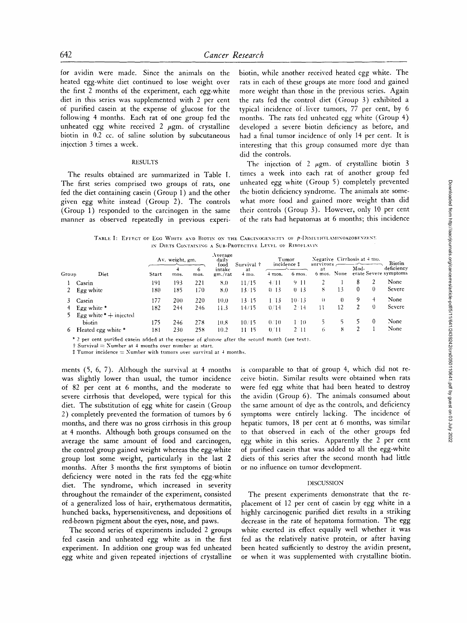for avidin were made. Since the animals on the heated egg-white diet continued to lose weight over the first 2 months of the experiment, each egg-white diet in this series was supplemented with 2 per cent of purified casein at the expense of glucose for the following 4 months. Each rat of one group fed the unheated egg white received  $2 \mu$ gm. of crystalline biotin in 0.2 cc. of saline solution by subcutaneous injection 3 times a week.

## **RESULTS**

The results obtained are summarized in Table I. The first series comprised two groups of rats, one fed the diet containing casein (Group 1) and the other given egg white instead (Group 2). The controls (Group 1) responded to the carcinogen in the same manner as observed repeatedly in previous experibiotin, while another received heated egg white. The rats in each of these groups ate more food and gained more weight than those in the previous series. Again the rats fed the control diet (Group 3) exhibited a typical incidence of liver tumors, 77 per cent, by 6 months. The rats fed unheated egg white (Group 4) developed a severe biotin deficiency as before, and had a final tumor incidence of only 14 per cent. It is interesting that this group consumed more dye than did the controls.

The injection of 2  $\mu$ gm. of crystalline biotin 3 times a week into each rat of another group fed unheated egg white (Group 5) completely prevented the biotin deficiency syndrome. The animals ate somewhat more food and gained more weight than did their controls (Group 3). However, only 10 per cent of the rats had hepatomas at 6 months; this incidence

TABLE I: EFFECT OF EGG WHITE AND BIOTIN ON THE CARCINOGENICITY OF P-I)IMETHYLAMINOAZOBENZENE IN DIETS CONTAINING A SUB-PROTECTIVE LEVEL OF RIBOFLAVIN

|       | Diet                                                                                          | Av. weight, gm. |           |           | Average<br>daily          | Survival $\dagger$     | Tumor<br>incidence ‡ |                 |                                              |          | Negative Cirrhosis at 4 mo. |          | <b>Biotin</b>                       |
|-------|-----------------------------------------------------------------------------------------------|-----------------|-----------|-----------|---------------------------|------------------------|----------------------|-----------------|----------------------------------------------|----------|-----------------------------|----------|-------------------------------------|
| Group |                                                                                               | Start           | 4<br>mos. | 6<br>mos. | tood<br>intake<br>gm./rat | at<br>$4 \text{ mo}$ . | $+$ mos.             | 6 mos.          | survivors<br>-at<br>None<br>$6 \text{ mos.}$ |          | Mod-                        |          | deficiency<br>erate Severe symptoms |
|       | Casein                                                                                        | 191             | 193       | 221       | 8.0                       | 11/15                  | 4/11                 | 911             |                                              |          | 8                           |          | None                                |
| 2     | Egg white                                                                                     | 180             | 185       | 170       | 8.0                       | 13/15                  | 0.13                 | 0 <sub>13</sub> | 8                                            | 13       | 0                           | $^{(1)}$ | Severe                              |
| 3.    | Casein                                                                                        | 177             | 200       | 220       | 10.0                      | $13 - 15$              | $1^{\circ}13$        | 10/13           | $\mathbf{U}$                                 | $\theta$ | 9                           | 4        | None                                |
| 4     | Egg white *                                                                                   | 182             | 244       | 246       | 11.3                      | 14/15                  | 0/14                 | $2 \cdot 14$    | $\mathbf{1}$                                 | 12       | $\mathbf{2}$                | $\theta$ | Severe                              |
|       | Egg white $* +$ injected                                                                      |                 |           |           |                           |                        |                      |                 |                                              |          |                             |          |                                     |
|       | biotin                                                                                        | 175             | 246       | 278       | 10.8                      | 10/15                  | 0/10                 | $1-10$          |                                              |          |                             | $\theta$ | None                                |
| 6     | Heated egg white *                                                                            | 181             | 230       | 258       | 10.2                      | $11 - 15$              | 0/11                 | 2 11            | 6                                            | 8        | $\overline{2}$              |          | None                                |
|       | $\sim$ $\sim$<br>$\mathbf{M}$ $\mathbf{M}$<br>the contract of the contract of the contract of | .               |           |           |                           |                        |                      |                 |                                              |          |                             |          |                                     |

9 2 per cent purified casein added at the expense of glucose after the second month (see text).

 $\dot{\tau}$  Survival  $\equiv$  Number at 4 months over number at start.

 $\ddagger$  Tumor incidence  $\equiv$  Number with tumors over survival at 4 months.

ments (5, 6, 7). Although the survival at 4 months was slightly lower than usual, the tumor incidence of 82 per cent at 6 months, and the moderate to severe cirrhosis that developed, were typical for this diet. The substitution of egg white for casein (Group 2) completely prevented the formation of tumors by 6 months, and there was no gross cirrhosis in this group at 4 months. Although both groups consumed on the average the same amount of food and carcinogen, the control group gained weight whereas the egg-white group lost some weight, particularly in the last 2 months. After 3 months the first symptoms of biotin deficiency were noted in the rats fed the egg-white diet. The syndrome, which increased in severity throughout the remainder of the experiment, consisted of a generalized loss of hair, erythematous dermatitis, hunched backs, hypersensitiveness, and depositions of red-brown pigment about the eyes, nose, and paws.

The second series of experiments included 2 groups fed casein and unheated egg white as in the first experiment. In addition one group was fed unheated egg white and given repeated injections of crystalline

is comparable to that ot group 4, which did not receive biotin. Similar results were obtained when rats were fed egg white that had been heated to destroy the avidin (Group 6). The animals consumed about the same amount of dye as the controls, and deficiency symptoms were entirely lacking. The incidence of hepatic tumors, 18 per cent at 6 months, was similar to that observed in each of the other groups fed egg white in this series. Apparently the 2 per cent of purified casein that was added to all the egg-white diets of this series after the second month had little or no influence on tumor development.

## DISCUSSION

The present experiments demonstrate that the replacement ot 12 per cent of casein by egg white in a highly carcinogenic purified diet results in a striking decrease in the rate of hepatoma formation. The egg white exerted its effect equally well whether it was fed as the relatively native protein, or after having been heated sufficiently to destroy the avidin present, or when it was supplemented with crystalline biotin.